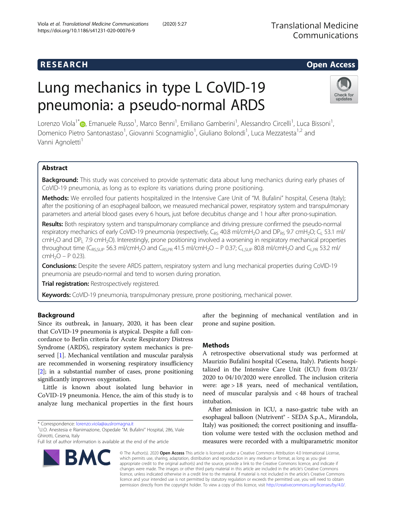# Lung mechanics in type L CoVID-19 pneumonia: a pseudo-normal ARDS

Lorenzo Viola<sup>1\*</sup>®[,](http://orcid.org/0000-0002-8959-8357) Emanuele Russo<sup>1</sup>, Marco Benni<sup>1</sup>, Emiliano Gamberini<sup>1</sup>, Alessandro Circelli<sup>1</sup>, Luca Bissoni<sup>1</sup> , Domenico Pietro Santonastaso<sup>1</sup>, Giovanni Scognamiglio<sup>1</sup>, Giuliano Bolondi<sup>1</sup>, Luca Mezzatesta<sup>1,2</sup> and Vanni Agnoletti<sup>1</sup>

# Abstract

**Background:** This study was conceived to provide systematic data about lung mechanics during early phases of CoVID-19 pneumonia, as long as to explore its variations during prone positioning.

Methods: We enrolled four patients hospitalized in the Intensive Care Unit of "M. Bufalini" hospital, Cesena (Italy); after the positioning of an esophageal balloon, we measured mechanical power, respiratory system and transpulmonary parameters and arterial blood gases every 6 hours, just before decubitus change and 1 hour after prono-supination.

Results: Both respiratory system and transpulmonary compliance and driving pressure confirmed the pseudo-normal respiratory mechanics of early CoVID-19 pneumonia (respectively, C<sub>RS</sub> 40.8 ml/cmH<sub>2</sub>O and DP<sub>RS</sub> 9.7 cmH<sub>2</sub>O; C<sub>L</sub> 53.1 ml/ cmH2O and DPL 7.9 cmH2O). Interestingly, prone positioning involved a worsening in respiratory mechanical properties throughout time (C<sub>RSSUP</sub> 56.3 ml/cmH<sub>2</sub>O and C<sub>RSPR</sub> 41.5 ml/cmH<sub>2</sub>O – P 0.37; C<sub>LSUP</sub> 80.8 ml/cmH<sub>2</sub>O and C<sub>LPR</sub> 53.2 ml/ cmH<sub>2</sub>O – P 0.23).

Conclusions: Despite the severe ARDS pattern, respiratory system and lung mechanical properties during CoVID-19 pneumonia are pseudo-normal and tend to worsen during pronation.

**Trial registration: Restrospectively registered.** 

Keywords: CoVID-19 pneumonia, transpulmonary pressure, prone positioning, mechanical power.

# Background

Since its outbreak, in January, 2020, it has been clear that CoVID-19 pneumonia is atypical. Despite a full concordance to Berlin criteria for Acute Respiratory Distress Syndrome (ARDS), respiratory system mechanics is pre-served [[1\]](#page-4-0). Mechanical ventilation and muscular paralysis are recommended in worsening respiratory insufficiency [[2\]](#page-4-0); in a substantial number of cases, prone positioning significantly improves oxygenation.

Little is known about isolated lung behavior in CoVID-19 pneumonia. Hence, the aim of this study is to analyze lung mechanical properties in the first hours

\* Correspondence: [lorenzo.viola@auslromagna.it](mailto:lorenzo.viola@auslromagna.it) <sup>1</sup>

**BMC** 

U.O. Anestesia e Rianimazione, Ospedale "M. Bufalini" Hospital, 286, Viale Ghirotti, Cesena, Italy

Full list of author information is available at the end of the article

after the beginning of mechanical ventilation and in prone and supine position.

# Methods

A retrospective observational study was performed at Maurizio Bufalini hospital (Cesena, Italy). Patients hospitalized in the Intensive Care Unit (ICU) from 03/23/ 2020 to 04/10/2020 were enrolled. The inclusion criteria were: age > 18 years, need of mechanical ventilation, need of muscular paralysis and < 48 hours of tracheal intubation.

After admission in ICU, a naso-gastric tube with an esophageal balloon (Nutrivent® - SEDA S.p.A., Mirandola, Italy) was positioned; the correct positioning and insufflation volume were tested with the occlusion method and measures were recorded with a multiparametric monitor

© The Author(s). 2020 Open Access This article is licensed under a Creative Commons Attribution 4.0 International License, which permits use, sharing, adaptation, distribution and reproduction in any medium or format, as long as you give appropriate credit to the original author(s) and the source, provide a link to the Creative Commons licence, and indicate if changes were made. The images or other third party material in this article are included in the article's Creative Commons licence, unless indicated otherwise in a credit line to the material. If material is not included in the article's Creative Commons licence and your intended use is not permitted by statutory regulation or exceeds the permitted use, you will need to obtain permission directly from the copyright holder. To view a copy of this licence, visit [http://creativecommons.org/licenses/by/4.0/.](http://creativecommons.org/licenses/by/4.0/)

Translational Medicine Communications

### Viola et al. Translational Medicine Communications (2020) 5:27 https://doi.org/10.1186/s41231-020-00076-9



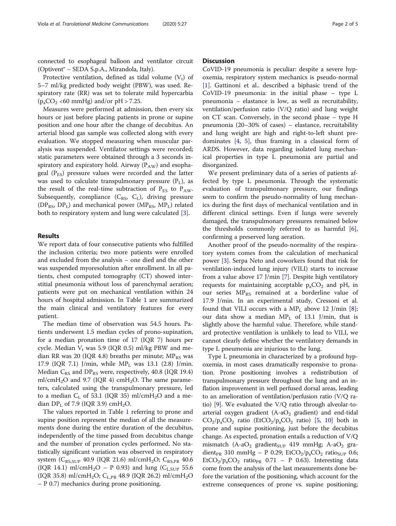connected to esophageal balloon and ventilator circuit (Optivent® – SEDA S.p.A., Mirandola, Italy).

Protective ventilation, defined as tidal volume  $(V_t)$  of 5–7 ml/kg predicted body weight (PBW), was used. Respiratory rate (RR) was set to tolerate mild hypercarbia  $(p_aCO_2 \leq 60 \text{ mmHg})$  and/or pH > 7.25.

Measures were performed at admission, then every six hours or just before placing patients in prone or supine position and one hour after the change of decubitus. An arterial blood gas sample was collected along with every evaluation. We stopped measuring when muscular paralysis was suspended. Ventilator settings were recorded; static parameters were obtained through a 3 seconds inspiratory and expiratory hold. Airway  $(P_{AW})$  and esophageal  $(P_{ES})$  pressure values were recorded and the latter was used to calculate transpulmonary pressure  $(P_L)$ , as the result of the real-time subtraction of  $P_{ES}$  to  $P_{AW}$ . Subsequently, compliance  $(C_{RS}, C_L)$ , driving pressure  $(DP_{RS}, DP_{L})$  and mechanical power  $(MP_{RS}, MP_{L})$  related both to respiratory system and lung were calculated [\[3](#page-4-0)].

#### Results

We report data of four consecutive patients who fulfilled the inclusion criteria; two more patients were enrolled and excluded from the analysis – one died and the other was suspended myoresolution after enrollment. In all patients, chest computed tomography (CT) showed interstitial pneumonia without loss of parenchymal aeration; patients were put on mechanical ventilation within 24 hours of hospital admission. In Table [1](#page-2-0) are summarized the main clinical and ventilatory features for every patient.

The median time of observation was 54.5 hours. Patients underwent 1.5 median cycles of prono-supination, for a median pronation time of 17 (IQR 7) hours per cycle. Median  $V_t$  was 5.9 (IQR 0.5) ml/kg PBW and median RR was 20 (IQR 4.8) breaths per minute;  $MP_{RS}$  was 17.9 (IQR 7.1) J/min, while  $MP_L$  was 13.1 (2.8) J/min. Median  $C_{RS}$  and  $DP_{RS}$  were, respectively, 40.8 (IQR 19.4) ml/cmH<sub>2</sub>O and 9.7 (IQR 4) cmH<sub>2</sub>O. The same parameters, calculated using the transpulmonary pressure, led to a median  $C_{L}$  of 53.1 (IQR 35) ml/cmH<sub>2</sub>O and a median  $DP<sub>L</sub>$  of 7.9 (IQR 3.9) cmH<sub>2</sub>O.

The values reported in Table [1](#page-2-0) referring to prone and supine position represent the median of all the measurements done during the entire duration of the decubitus, independently of the time passed from decubitus change and the number of pronation cycles performed. No statistically significant variation was observed in respiratory system ( $C_{RS,SUP}$  40.9 (IQR 21.6) ml/cmH<sub>2</sub>O;  $C_{RS, PR}$  40.6 (IQR 14.1) ml/cmH<sub>2</sub>O – P 0.93) and lung (C<sub>L,SUP</sub> 55.6 (IQR 35.8) ml/cmH<sub>2</sub>O; C<sub>L,PR</sub> 48.9 (IQR 26.2) ml/cmH<sub>2</sub>O – P 0.7) mechanics during prone positioning.

# **Discussion**

CoVID-19 pneumonia is peculiar: despite a severe hypoxemia, respiratory system mechanics is pseudo-normal [[1\]](#page-4-0). Gattinoni et al.. described a biphasic trend of the CoVID-19 pneumonia: in the initial phase – type L pneumonia – elastance is low, as well as recruitability, ventilation/perfusion ratio (V/Q ratio) and lung weight on CT scan. Conversely, in the second phase – type H pneumonia (20–30% of cases) – elastance, recruitability and lung weight are high and right-to-left shunt predominates  $[4, 5]$  $[4, 5]$  $[4, 5]$  $[4, 5]$ , thus framing in a classical form of ARDS. However, data regarding isolated lung mechanical properties in type L pneumonia are partial and disorganized.

We present preliminary data of a series of patients affected by type L pneumonia. Through the systematic evaluation of transpulmonary pressure, our findings seem to confirm the pseudo-normality of lung mechanics during the first days of mechanical ventilation and in different clinical settings. Even if lungs were severely damaged, the transpulmonary pressures remained below the thresholds commonly referred to as harmful [\[6](#page-4-0)], confirming a preserved lung aeration.

Another proof of the pseudo-normality of the respiratory system comes from the calculation of mechanical power [\[3](#page-4-0)]. Serpa Neto and coworkers found that risk for ventilation-induced lung injury (VILI) starts to increase from a value above 17 J/min [\[7](#page-4-0)]. Despite high ventilatory requests for maintaining acceptable  $p_aCO_2$  and pH, in our series  $MP_{RS}$  remained at a borderline value of 17.9 J/min. In an experimental study, Cressoni et al. found that VILI occurs with a  $MP<sub>L</sub>$  above 12 J/min [\[8](#page-4-0)]; our data show a median  $MP_L$  of 13.1 J/min, that is slightly above the harmful value. Therefore, while standard protective ventilation is unlikely to lead to VILI, we cannot clearly define whether the ventilatory demands in type L pneumonia are injurious to the lung.

Type L pneumonia in characterized by a profound hypoxemia, in most cases dramatically responsive to pronation. Prone positioning involves a redistribution of transpulmonary pressure throughout the lung and an inflation improvement in well perfused dorsal areas, leading to an amelioration of ventilation/perfusion ratio (V/Q ratio) [\[9\]](#page-4-0). We evaluated the V/Q ratio through alveolar-toarterial oxygen gradient  $(A-aO<sub>2</sub>$  gradient) and end-tidal  $CO_2/p_aCO_2$  ratio (EtCO<sub>2</sub>/ $p_aCO_2$  ratio) [\[5,](#page-4-0) [10](#page-4-0)] both in prone and supine positioning, just before the decubitus change. As expected, pronation entails a reduction of V/Q mismatch  $(A-aO<sub>2</sub>$  gradient<sub>SUP</sub> 419 mmHg; A-aO<sub>2</sub> gradient<sub>PR</sub> 310 mmHg – P 0.29; EtCO<sub>2</sub>/p<sub>a</sub>CO<sub>2</sub> ratio<sub>SUP</sub> 0.6;  $EtCO_2/p_aCO_2$  ratio<sub>PR</sub> 0.71 – P 0.63). Interesting data come from the analysis of the last measurements done before the variation of the positioning, which account for the extreme consequences of prone vs. supine positioning;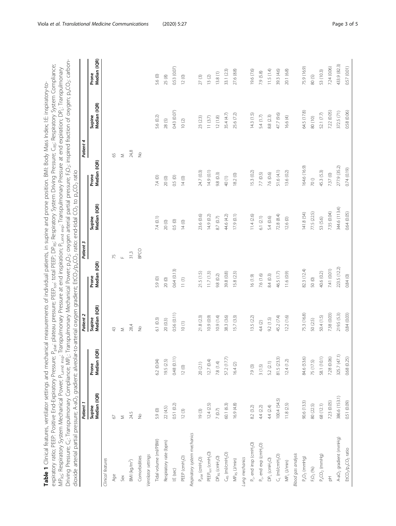<span id="page-2-0"></span>

| Patient 4 | Patient 3 | Patient 2 | dioxide arterial partial pressure; A-aO <sub>2</sub> gradient: alveolar-to-arterial oxygen gradient; EtCO <sub>2</sub> /p <sub>a</sub> CO <sub>2</sub> ratio: end-tidal CO <sub>2</sub> to p <sub>a</sub> CO <sub>2</sub> ratio<br>Patient 1                                            |
|-----------|-----------|-----------|-----------------------------------------------------------------------------------------------------------------------------------------------------------------------------------------------------------------------------------------------------------------------------------------|
|           |           |           | Driving Pressure; C <sub>L</sub> : Transpulmonary Compliance; MP <sub>L:</sub> Transpulmonary Mechanical Power; p <sub>a</sub> O <sub>2</sub> : oxygen arterial partial pressure; F <sub>i</sub> O <sub>2</sub> : inspired fraction of oxygen; p <sub>a</sub> CO <sub>2</sub> : carbon- |
|           |           |           | MP <sub>RS</sub> : Respiratory System Mechanical Power; P <sub>Lend insp</sub> . Transpulmonary Pressure at end inspiration; P <sub>Lend exp</sub> : Transpulmonary Pressure at end expiration; DP <sub>L</sub> : Transpulmonary                                                        |
|           |           |           | expiratory ratio; PEEP: Positive End-Expiratory Pressure; P <sub>latic</sub> Plateau pressure; PEEP <sub>tot</sub> ; total PEEP; DP <sub>Rs</sub> : Respiratory System Driving Pressure; C <sub>Rs;</sub> Respiratory System Compliance;                                                |
|           |           |           | Table 1 Clinical features, vertiliator settings and mechanical measurements of individual patients, in supine and prone position. BMI: Body Mass Index; IE: inspiratory-to-                                                                                                             |

| dioxide arterial partial pressure; A-aO <sub>2</sub> gradient: alveolar-to-arterial oxygen gradient; EtCO <sub>2</sub> /p <sub>a</sub> CO <sub>2</sub> ratio: end-tidal CO <sub>2</sub> to p <sub>a</sub> CO <sub>2</sub> ratio | Patient 1              |                       | Patient 2              | Patient 3             |                        | 4<br>Patient          |                        |                       |
|---------------------------------------------------------------------------------------------------------------------------------------------------------------------------------------------------------------------------------|------------------------|-----------------------|------------------------|-----------------------|------------------------|-----------------------|------------------------|-----------------------|
|                                                                                                                                                                                                                                 | Median (IQR)<br>Supine | Median (IQR)<br>Prone | Supine<br>Median (IQR) | Median (IQR)<br>Prone | Supine<br>Median (IQR) | Median (IQR)<br>Prone | Supine<br>Median (IQR) | Median (IQR)<br>Prone |
| Clinical features                                                                                                                                                                                                               |                        |                       |                        |                       |                        |                       |                        |                       |
| Age                                                                                                                                                                                                                             | $\odot$                |                       | 43                     | 75                    |                        | 65                    |                        |                       |
| Sex                                                                                                                                                                                                                             | Σ                      |                       | Σ                      | Щ                     |                        | Σ                     |                        |                       |
| BM (kg/m <sup>2</sup> )                                                                                                                                                                                                         | 24.5                   |                       | 28,4                   | 31,3                  |                        | 24,8                  |                        |                       |
| Comorbidities                                                                                                                                                                                                                   | $\frac{6}{2}$          |                       | $\frac{1}{2}$          | BPCO                  |                        | $\geq$                |                        |                       |
| Ventilator settings                                                                                                                                                                                                             |                        |                       |                        |                       |                        |                       |                        |                       |
| Tidal volume (ml/PBW)                                                                                                                                                                                                           | 5.9 (0)                | 6.2(0.04)             | 6.1(0.3)               | 5.9 (0)               | 7.4(0.1)               | $7,4\ (0)$            | 5.6 (0.2)              | 5.6 (0)               |
| Respiratory rate (bpm)                                                                                                                                                                                                          | 22(4.5)                | 19.5 (2.5)            | 20(0.3)                | $20(0)$               | $20(0)$                | $20\ (0)$             | 28(5)                  | $25(8)$               |
| I:E (sec)                                                                                                                                                                                                                       | 0.51(0.2)              | 0.48(0.11)            | 0.56 (0.11)            | 0.64 (0.13)           | 0.5(0)                 | 0.5(0)                | 0.43 (0.07)            | 0.53 (0.07)           |
| PEEP (cmH <sub>2</sub> O)                                                                                                                                                                                                       | $12(3)$                | $12(0)$               | 10(1)                  | 11(1)                 | 14(0)                  | 14(0)                 | 10(2)                  | 12(0)                 |
| Respiratory system mechanics                                                                                                                                                                                                    |                        |                       |                        |                       |                        |                       |                        |                       |
| $P_{\text{plat}}(\text{cmH}_2O)$                                                                                                                                                                                                | 19(3)                  | 20(2.1)               | 21.8 (2.3)             | 21.5(1.5)             | 23.6 (0.6)             | 24.7 (0.3)            | 23(2.3)                | $27\,(3)$             |
| PEEP <sub>tot</sub> (cmH <sub>2</sub> O)                                                                                                                                                                                        | 12.4(2.5)              | 12.7(0.4)             | (0.9)                  | 11.7(1.3)             | 14.9(0.2)              | 14.9(0.1)             | 11(3.7)                | 13(2)                 |
| $DP_{RS}$ (cmH <sub>2</sub> O)                                                                                                                                                                                                  | $7\ (0.7)$             | 7.8(1.4)              | 10.9(1.4)              | 9.8(0.2)              | $8.7\ (0.7)$           | 9.8 (0.3)             | 12(1.8)                | 13.8(1)               |
| $C_{RS}$ (ml/cmH <sub>2</sub> O)                                                                                                                                                                                                | 60.1 (6.3)             | 57.2 (17.7)           | 38.3 (3.6)             | 39.8 (0.8)            | 44.6 (4.2)             | 40(1)                 | 35.4 (4.7)             | 33.1 (2.3)            |
| MP <sub>RS</sub> (J/min)                                                                                                                                                                                                        | 16.9 (4.8)             | 16.4(2)               | 15.7 (3.3)             | 15.8 (2.3)            | 17.9(0.1)              | 18.2 (0)              | 25.6 (7.2)             | 27.6 (8.8)            |
| Lung mechanics                                                                                                                                                                                                                  |                        |                       |                        |                       |                        |                       |                        |                       |
| $P_{L}$ end insp (cmH <sub>2</sub> O)                                                                                                                                                                                           | 8.2(3.2)               | 7.9(3)                | 13.5(2.2)              | 16(1.9)               | 11.4(2.6)              | 15.3 (0.2)            | 14.3(1.5)              | 19.6 (7.6)            |
| $P_{L}$ , end exp (cmH <sub>2</sub> O)                                                                                                                                                                                          | 4.4(2.2)               | 3(1.5)                | $4.4~(2)$              | 7.6 (1.6)             | 6.1(2.1)               | 7.7(0.5)              | 5.4(1.7)               | 7.9 (5.8)             |
| $DP_L$ (cmH <sub>2</sub> O)                                                                                                                                                                                                     | 4.4 (2.4)              | 5.2 (2.1)             | 9.2(1.5)               | 8.4(0.3)              | 5.4 (0.6)              | 7.6 (0.6)             | 8.8 (2.3)              | 11.5(1.4)             |
| $C_L$ (ml/cmH <sub>2</sub> O)                                                                                                                                                                                                   | 100.4(54.5)            | 81.5 (23.3)           | 45.2 (7.4)             | 46.5 (1.7)            | 72.8(8.4)              | 51.6 (4.1)            | 47.7 (9.6)             | 39.3 (4.6)            |
| $MP_L (Umin)$                                                                                                                                                                                                                   | 11.8(2.5)              | 12.4(1.2)             | 12.2(1.6)              | 11.6(0.9)             | 12.6(0)                | 13.6 (0.2)            | 16.6 (4)               | 20.1 (6.8)            |
| <b>Blood gas analysis</b>                                                                                                                                                                                                       |                        |                       |                        |                       |                        |                       |                        |                       |
| $P_aO_2$ (mmHg)                                                                                                                                                                                                                 | 90.6 (13.3)            | 84.6 (53.6)           | 75.3 (16.8)            | 82.3 (12.4)           | 141.8 (54)             | 164.6 (16.9)          | 64.5 (17.8)            | 75.9 (16.9)           |
| $\mathsf{F}_1\mathsf{O}_2$ (%)                                                                                                                                                                                                  | 80(22.5)               | 75 (17.5)             | 50 (2.5)               | $50(0)$               | 77.5 (22.5)            | $70\,0$               | 80 (10)                | 80(5)                 |
| $P_aCO_2$ (mmHg)                                                                                                                                                                                                                | 68 (12.1)              | 58.1 (10.1)           | 50.4 (1.5)             | 40.6 (0.2)            | 53 (5.6)               | 45.3 (5.3)            | 52.1 (7.7)             | 53 (10.3)             |
| $\frac{1}{\Delta}$                                                                                                                                                                                                              | 7.23 (0.05)            | 7.28 (0.06)           | 7.38 (0.03)            | 7.41 (0.01)           | 7.35 (0.04)            | 7.37 (0)              | 7.22 (0.05)            | 7.24 (0.06)           |
| A-aO <sub>2</sub> gradient (mmHg)                                                                                                                                                                                               | 386.6 (153.1)          | 325.7 (47.1)          | 219.5 (5.3)            | 223.5 (12.2)          | 344.6 (113.4)          | 277.9 (35.2)          | 372.5 (71)             | 433.9 (82.3)          |
| EtCO <sub>2</sub> /p <sub>a</sub> CO <sub>2</sub> ratio                                                                                                                                                                         | 0.51 (0.09)            | 0.68(0.25)            | 0.84 (0.03)            | 0.84(0)               | 0.64(0.05)             | $(61.0)$ $H(2)$       | 0.58(0.06)             | 0.57 (0.01)           |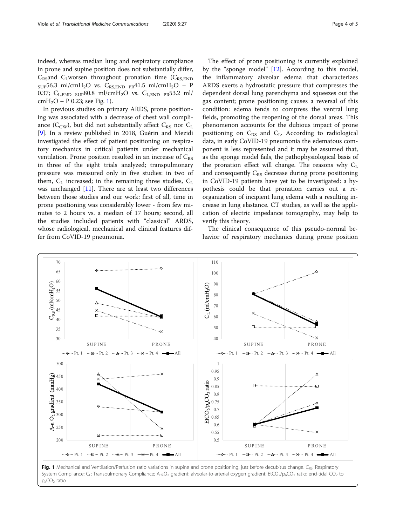indeed, whereas median lung and respiratory compliance in prone and supine position does not substantially differ,  $C_{\text{R}}$  C<sub>L</sub> worsen throughout pronation time ( $C_{\text{R}}$ <sub>S,END</sub>)  $_{SUP}$ 56.3 ml/cmH<sub>2</sub>O vs. C<sub>RS,END</sub> <sub>PR</sub>41.5 ml/cmH<sub>2</sub>O – P 0.37;  $C_{\text{LED}}$  sup80.8 ml/cmH<sub>2</sub>O vs.  $C_{\text{LED}}$  p<sub>R</sub>53.2 ml/  $cmH_2O - P 0.23$ ; see Fig. 1).

In previous studies on primary ARDS, prone positioning was associated with a decrease of chest wall compliance ( $C_{\text{CW}}$ ), but did not substantially affect  $C_{\text{RS}}$  nor  $C_{\text{L}}$ [[9\]](#page-4-0). In a review published in 2018, Guérin and Mezidi investigated the effect of patient positioning on respiratory mechanics in critical patients under mechanical ventilation. Prone position resulted in an increase of  $C_{RS}$ in three of the eight trials analyzed; transpulmonary pressure was measured only in five studies: in two of them,  $C_L$  increased; in the remaining three studies,  $C_L$ was unchanged [[11\]](#page-4-0). There are at least two differences between those studies and our work: first of all, time in prone positioning was considerably lower - from few minutes to 2 hours vs. a median of 17 hours; second, all the studies included patients with "classical" ARDS, whose radiological, mechanical and clinical features differ from CoVID-19 pneumonia.

The effect of prone positioning is currently explained by the "sponge model" [[12\]](#page-4-0). According to this model, the inflammatory alveolar edema that characterizes ARDS exerts a hydrostatic pressure that compresses the dependent dorsal lung parenchyma and squeezes out the gas content; prone positioning causes a reversal of this condition: edema tends to compress the ventral lung fields, promoting the reopening of the dorsal areas. This phenomenon accounts for the dubious impact of prone positioning on  $C_{RS}$  and  $C_L$ . According to radiological data, in early CoVID-19 pneumonia the edematous com-

The clinical consequence of this pseudo-normal behavior of respiratory mechanics during prone position

verify this theory.

ponent is less represented and it may be assumed that, as the sponge model fails, the pathophysiological basis of the pronation effect will change. The reasons why  $C_{\text{L}}$ and consequently  $C_{RS}$  decrease during prone positioning in CoVID-19 patients have yet to be investigated: a hypothesis could be that pronation carries out a reorganization of incipient lung edema with a resulting increase in lung elastance. CT studies, as well as the application of electric impedance tomography, may help to